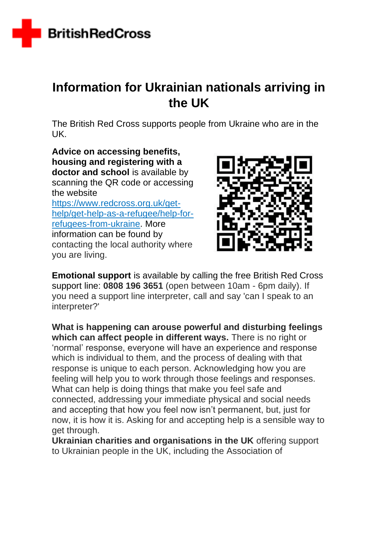

## **Information for Ukrainian nationals arriving in the UK**

The British Red Cross supports people from Ukraine who are in the UK.

**Advice on accessing benefits, housing and registering with a**  doctor and school is available by scanning the QR code or accessing the website [https://www.redcross.org.uk/get](https://www.redcross.org.uk/get-help/get-help-as-a-refugee/help-for-refugees-from-ukraine)[help/get-help-as-a-refugee/help-for](https://www.redcross.org.uk/get-help/get-help-as-a-refugee/help-for-refugees-from-ukraine)[refugees-from-ukraine.](https://www.redcross.org.uk/get-help/get-help-as-a-refugee/help-for-refugees-from-ukraine) More information can be found by contacting the local authority where you are living.



**Emotional support** is available by calling the free British Red Cross support line: **0808 196 3651** (open between 10am - 6pm daily). If you need a support line interpreter, call and say 'can I speak to an interpreter?'

**What is happening can arouse powerful and disturbing feelings which can affect people in different ways.** There is no right or 'normal' response, everyone will have an experience and response which is individual to them, and the process of dealing with that response is unique to each person. Acknowledging how you are feeling will help you to work through those feelings and responses. What can help is doing things that make you feel safe and connected, addressing your immediate physical and social needs and accepting that how you feel now isn't permanent, but, just for now, it is how it is. Asking for and accepting help is a sensible way to get through.

**Ukrainian charities and organisations in the UK** offering support to Ukrainian people in the UK, including the Association of